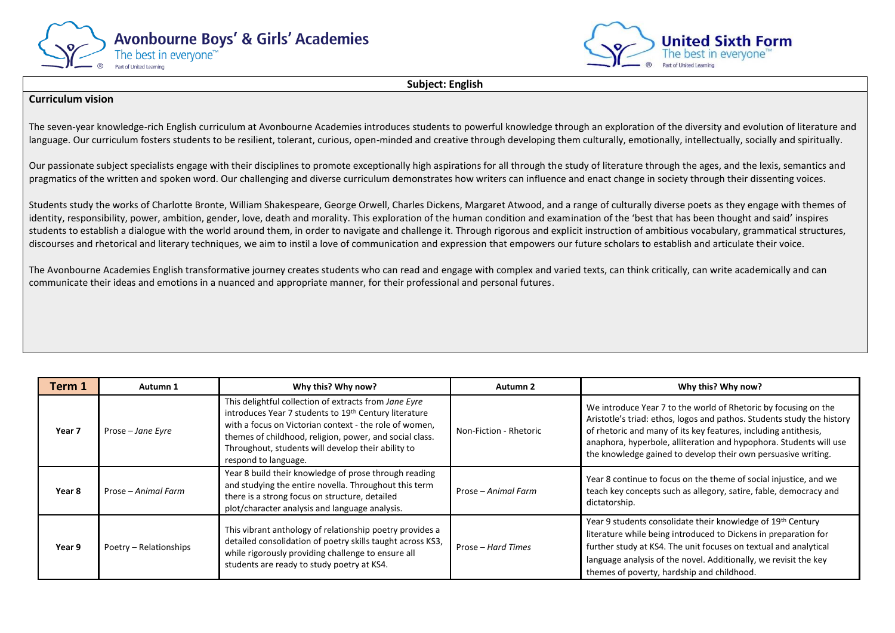



**Subject: English**

## **Curriculum vision**

The seven-year knowledge-rich English curriculum at Avonbourne Academies introduces students to powerful knowledge through an exploration of the diversity and evolution of literature and language. Our curriculum fosters students to be resilient, tolerant, curious, open-minded and creative through developing them culturally, emotionally, intellectually, socially and spiritually.

Our passionate subject specialists engage with their disciplines to promote exceptionally high aspirations for all through the study of literature through the ages, and the lexis, semantics and pragmatics of the written and spoken word. Our challenging and diverse curriculum demonstrates how writers can influence and enact change in society through their dissenting voices.

Students study the works of Charlotte Bronte, William Shakespeare, George Orwell, Charles Dickens, Margaret Atwood, and a range of culturally diverse poets as they engage with themes of identity, responsibility, power, ambition, gender, love, death and morality. This exploration of the human condition and examination of the 'best that has been thought and said' inspires students to establish a dialogue with the world around them, in order to navigate and challenge it. Through rigorous and explicit instruction of ambitious vocabulary, grammatical structures, discourses and rhetorical and literary techniques, we aim to instil a love of communication and expression that empowers our future scholars to establish and articulate their voice.

The Avonbourne Academies English transformative journey creates students who can read and engage with complex and varied texts, can think critically, can write academically and can communicate their ideas and emotions in a nuanced and appropriate manner, for their professional and personal futures.

| Term 1            | Autumn 1               | Why this? Why now?                                                                                                                                                                                                                                                                                                | Autumn 2               | Why this? Why now?                                                                                                                                                                                                                                                                                                                                  |
|-------------------|------------------------|-------------------------------------------------------------------------------------------------------------------------------------------------------------------------------------------------------------------------------------------------------------------------------------------------------------------|------------------------|-----------------------------------------------------------------------------------------------------------------------------------------------------------------------------------------------------------------------------------------------------------------------------------------------------------------------------------------------------|
| Year <sub>7</sub> | Prose - Jane Eyre      | This delightful collection of extracts from Jane Eyre<br>introduces Year 7 students to 19th Century literature<br>with a focus on Victorian context - the role of women,<br>themes of childhood, religion, power, and social class.<br>Throughout, students will develop their ability to<br>respond to language. | Non-Fiction - Rhetoric | We introduce Year 7 to the world of Rhetoric by focusing on the<br>Aristotle's triad: ethos, logos and pathos. Students study the history<br>of rhetoric and many of its key features, including antithesis,<br>anaphora, hyperbole, alliteration and hypophora. Students will use<br>the knowledge gained to develop their own persuasive writing. |
| Year 8            | Prose – Animal Farm    | Year 8 build their knowledge of prose through reading<br>and studying the entire novella. Throughout this term<br>there is a strong focus on structure, detailed<br>plot/character analysis and language analysis.                                                                                                | Prose – Animal Farm    | Year 8 continue to focus on the theme of social injustice, and we<br>teach key concepts such as allegory, satire, fable, democracy and<br>dictatorship.                                                                                                                                                                                             |
| Year 9            | Poetry - Relationships | This vibrant anthology of relationship poetry provides a<br>detailed consolidation of poetry skills taught across KS3,<br>while rigorously providing challenge to ensure all<br>students are ready to study poetry at KS4.                                                                                        | Prose – Hard Times     | Year 9 students consolidate their knowledge of 19 <sup>th</sup> Century<br>literature while being introduced to Dickens in preparation for<br>further study at KS4. The unit focuses on textual and analytical<br>language analysis of the novel. Additionally, we revisit the key<br>themes of poverty, hardship and childhood.                    |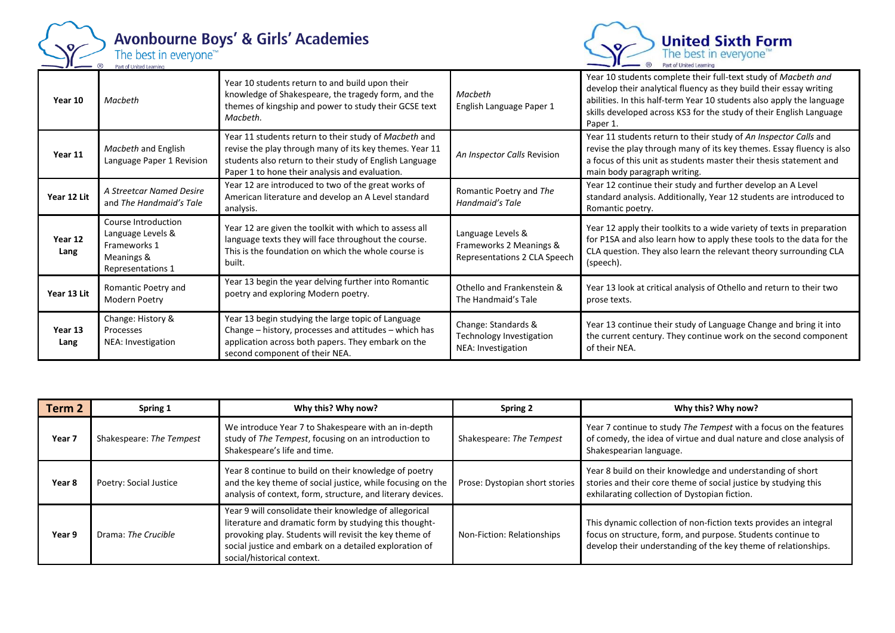

## Avonbourne Boys' & Girls' Academies



| Year 10         | Macheth                                                                                     | Year 10 students return to and build upon their<br>knowledge of Shakespeare, the tragedy form, and the<br>themes of kingship and power to study their GCSE text<br>Macbeth.                                                   | Macbeth<br>English Language Paper 1                                          | Year 10 students complete their full-text study of Macbeth and<br>develop their analytical fluency as they build their essay writing<br>abilities. In this half-term Year 10 students also apply the language<br>skills developed across KS3 for the study of their English Language<br>Paper 1. |
|-----------------|---------------------------------------------------------------------------------------------|-------------------------------------------------------------------------------------------------------------------------------------------------------------------------------------------------------------------------------|------------------------------------------------------------------------------|--------------------------------------------------------------------------------------------------------------------------------------------------------------------------------------------------------------------------------------------------------------------------------------------------|
| Year 11         | Macbeth and English<br>Language Paper 1 Revision                                            | Year 11 students return to their study of Macbeth and<br>revise the play through many of its key themes. Year 11<br>students also return to their study of English Language<br>Paper 1 to hone their analysis and evaluation. | An Inspector Calls Revision                                                  | Year 11 students return to their study of An Inspector Calls and<br>revise the play through many of its key themes. Essay fluency is also<br>a focus of this unit as students master their thesis statement and<br>main body paragraph writing.                                                  |
| Year 12 Lit     | A Streetcar Named Desire<br>and The Handmaid's Tale                                         | Year 12 are introduced to two of the great works of<br>American literature and develop an A Level standard<br>analysis.                                                                                                       | Romantic Poetry and The<br>Handmaid's Tale                                   | Year 12 continue their study and further develop an A Level<br>standard analysis. Additionally, Year 12 students are introduced to<br>Romantic poetry.                                                                                                                                           |
| Year 12<br>Lang | Course Introduction<br>Language Levels &<br>Frameworks 1<br>Meanings &<br>Representations 1 | Year 12 are given the toolkit with which to assess all<br>language texts they will face throughout the course.<br>This is the foundation on which the whole course is<br>built.                                               | Language Levels &<br>Frameworks 2 Meanings &<br>Representations 2 CLA Speech | Year 12 apply their toolkits to a wide variety of texts in preparation<br>for P1SA and also learn how to apply these tools to the data for the<br>CLA question. They also learn the relevant theory surrounding CLA<br>(speech).                                                                 |
| Year 13 Lit     | Romantic Poetry and<br>Modern Poetry                                                        | Year 13 begin the year delving further into Romantic<br>poetry and exploring Modern poetry.                                                                                                                                   | Othello and Frankenstein &<br>The Handmaid's Tale                            | Year 13 look at critical analysis of Othello and return to their two<br>prose texts.                                                                                                                                                                                                             |
| Year 13<br>Lang | Change: History &<br>Processes<br>NEA: Investigation                                        | Year 13 begin studying the large topic of Language<br>Change – history, processes and attitudes – which has<br>application across both papers. They embark on the<br>second component of their NEA.                           | Change: Standards &<br>Technology Investigation<br>NEA: Investigation        | Year 13 continue their study of Language Change and bring it into<br>the current century. They continue work on the second component<br>of their NEA.                                                                                                                                            |

| Term 2 | Spring 1                 | Why this? Why now?                                                                                                                                                                                                                                                 | Spring 2                       | Why this? Why now?                                                                                                                                                                                 |
|--------|--------------------------|--------------------------------------------------------------------------------------------------------------------------------------------------------------------------------------------------------------------------------------------------------------------|--------------------------------|----------------------------------------------------------------------------------------------------------------------------------------------------------------------------------------------------|
| Year 7 | Shakespeare: The Tempest | We introduce Year 7 to Shakespeare with an in-depth<br>study of The Tempest, focusing on an introduction to<br>Shakespeare's life and time.                                                                                                                        | Shakespeare: The Tempest       | Year 7 continue to study The Tempest with a focus on the features<br>of comedy, the idea of virtue and dual nature and close analysis of<br>Shakespearian language.                                |
| Year 8 | Poetry: Social Justice   | Year 8 continue to build on their knowledge of poetry<br>and the key theme of social justice, while focusing on the<br>analysis of context, form, structure, and literary devices.                                                                                 | Prose: Dystopian short stories | Year 8 build on their knowledge and understanding of short<br>stories and their core theme of social justice by studying this<br>exhilarating collection of Dystopian fiction.                     |
| Year 9 | Drama: The Crucible      | Year 9 will consolidate their knowledge of allegorical<br>literature and dramatic form by studying this thought-<br>provoking play. Students will revisit the key theme of<br>social justice and embark on a detailed exploration of<br>social/historical context. | Non-Fiction: Relationships     | This dynamic collection of non-fiction texts provides an integral<br>focus on structure, form, and purpose. Students continue to<br>develop their understanding of the key theme of relationships. |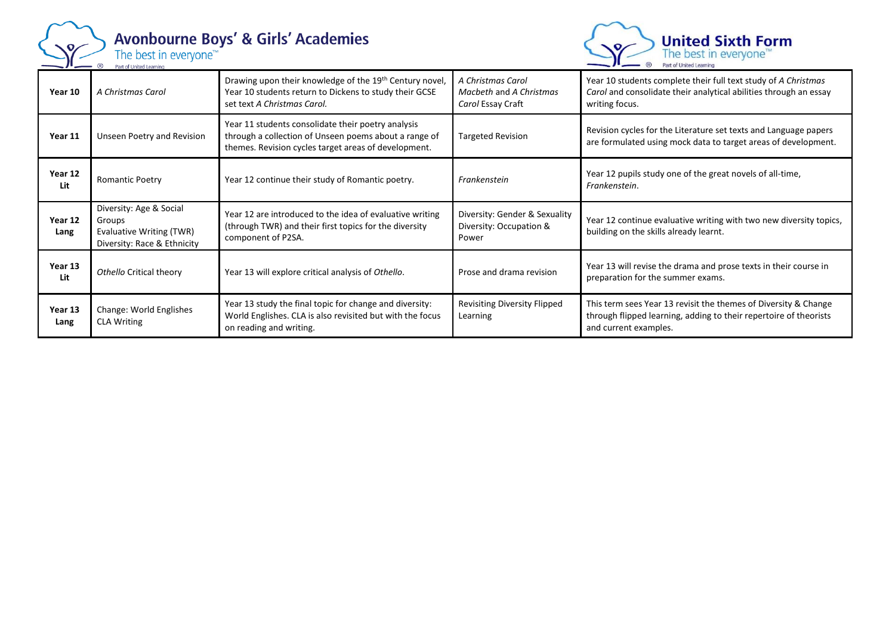

## Avonbourne Boys' & Girls' Academies<br>The best in everyone<sup>184</sup>

**United Sixth Form**<br>The best in everyone<sup>™</sup><br>Part of United Learning  $R$ 

| Year 10         | A Christmas Carol                                                                            | Drawing upon their knowledge of the 19 <sup>th</sup> Century novel,<br>Year 10 students return to Dickens to study their GCSE<br>set text A Christmas Carol.        | A Christmas Carol<br>Macbeth and A Christmas<br>Carol Essay Craft | Year 10 students complete their full text study of A Christmas<br>Carol and consolidate their analytical abilities through an essay<br>writing focus.         |
|-----------------|----------------------------------------------------------------------------------------------|---------------------------------------------------------------------------------------------------------------------------------------------------------------------|-------------------------------------------------------------------|---------------------------------------------------------------------------------------------------------------------------------------------------------------|
| Year 11         | Unseen Poetry and Revision                                                                   | Year 11 students consolidate their poetry analysis<br>through a collection of Unseen poems about a range of<br>themes. Revision cycles target areas of development. | <b>Targeted Revision</b>                                          | Revision cycles for the Literature set texts and Language papers<br>are formulated using mock data to target areas of development.                            |
| Year 12<br>Lit  | <b>Romantic Poetry</b>                                                                       | Year 12 continue their study of Romantic poetry.                                                                                                                    | Frankenstein                                                      | Year 12 pupils study one of the great novels of all-time,<br>Frankenstein.                                                                                    |
| Year 12<br>Lang | Diversity: Age & Social<br>Groups<br>Evaluative Writing (TWR)<br>Diversity: Race & Ethnicity | Year 12 are introduced to the idea of evaluative writing<br>(through TWR) and their first topics for the diversity<br>component of P2SA.                            | Diversity: Gender & Sexuality<br>Diversity: Occupation &<br>Power | Year 12 continue evaluative writing with two new diversity topics,<br>building on the skills already learnt.                                                  |
| Year 13<br>Lit  | Othello Critical theory                                                                      | Year 13 will explore critical analysis of Othello.                                                                                                                  | Prose and drama revision                                          | Year 13 will revise the drama and prose texts in their course in<br>preparation for the summer exams.                                                         |
| Year 13<br>Lang | Change: World Englishes<br><b>CLA Writing</b>                                                | Year 13 study the final topic for change and diversity:<br>World Englishes. CLA is also revisited but with the focus<br>on reading and writing.                     | Revisiting Diversity Flipped<br>Learning                          | This term sees Year 13 revisit the themes of Diversity & Change<br>through flipped learning, adding to their repertoire of theorists<br>and current examples. |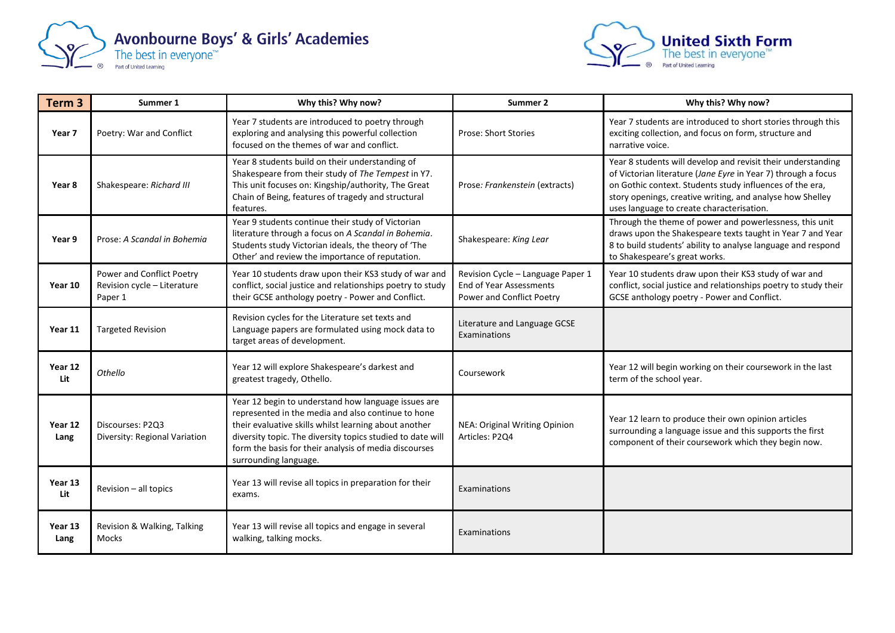



| Term <sub>3</sub> | Summer 1                                                            | Why this? Why now?                                                                                                                                                                                                                                                                                                 | Summer 2                                                                                         | Why this? Why now?                                                                                                                                                                                                                                                                                  |
|-------------------|---------------------------------------------------------------------|--------------------------------------------------------------------------------------------------------------------------------------------------------------------------------------------------------------------------------------------------------------------------------------------------------------------|--------------------------------------------------------------------------------------------------|-----------------------------------------------------------------------------------------------------------------------------------------------------------------------------------------------------------------------------------------------------------------------------------------------------|
| Year 7            | Poetry: War and Conflict                                            | Year 7 students are introduced to poetry through<br>exploring and analysing this powerful collection<br>focused on the themes of war and conflict.                                                                                                                                                                 | <b>Prose: Short Stories</b>                                                                      | Year 7 students are introduced to short stories through this<br>exciting collection, and focus on form, structure and<br>narrative voice.                                                                                                                                                           |
| Year 8            | Shakespeare: Richard III                                            | Year 8 students build on their understanding of<br>Shakespeare from their study of The Tempest in Y7.<br>This unit focuses on: Kingship/authority, The Great<br>Chain of Being, features of tragedy and structural<br>features.                                                                                    | Prose: Frankenstein (extracts)                                                                   | Year 8 students will develop and revisit their understanding<br>of Victorian literature (Jane Eyre in Year 7) through a focus<br>on Gothic context. Students study influences of the era,<br>story openings, creative writing, and analyse how Shelley<br>uses language to create characterisation. |
| Year 9            | Prose: A Scandal in Bohemia                                         | Year 9 students continue their study of Victorian<br>literature through a focus on A Scandal in Bohemia.<br>Students study Victorian ideals, the theory of 'The<br>Other' and review the importance of reputation.                                                                                                 | Shakespeare: King Lear                                                                           | Through the theme of power and powerlessness, this unit<br>draws upon the Shakespeare texts taught in Year 7 and Year<br>8 to build students' ability to analyse language and respond<br>to Shakespeare's great works.                                                                              |
| Year 10           | Power and Conflict Poetry<br>Revision cycle - Literature<br>Paper 1 | Year 10 students draw upon their KS3 study of war and<br>conflict, social justice and relationships poetry to study<br>their GCSE anthology poetry - Power and Conflict.                                                                                                                                           | Revision Cycle - Language Paper 1<br><b>End of Year Assessments</b><br>Power and Conflict Poetry | Year 10 students draw upon their KS3 study of war and<br>conflict, social justice and relationships poetry to study their<br>GCSE anthology poetry - Power and Conflict.                                                                                                                            |
| Year 11           | <b>Targeted Revision</b>                                            | Revision cycles for the Literature set texts and<br>Language papers are formulated using mock data to<br>target areas of development.                                                                                                                                                                              | Literature and Language GCSE<br>Examinations                                                     |                                                                                                                                                                                                                                                                                                     |
| Year 12<br>Lit    | Othello                                                             | Year 12 will explore Shakespeare's darkest and<br>greatest tragedy, Othello.                                                                                                                                                                                                                                       | Coursework                                                                                       | Year 12 will begin working on their coursework in the last<br>term of the school year.                                                                                                                                                                                                              |
| Year 12<br>Lang   | Discourses: P2Q3<br>Diversity: Regional Variation                   | Year 12 begin to understand how language issues are<br>represented in the media and also continue to hone<br>their evaluative skills whilst learning about another<br>diversity topic. The diversity topics studied to date will<br>form the basis for their analysis of media discourses<br>surrounding language. | NEA: Original Writing Opinion<br>Articles: P2Q4                                                  | Year 12 learn to produce their own opinion articles<br>surrounding a language issue and this supports the first<br>component of their coursework which they begin now.                                                                                                                              |
| Year 13<br>Lit    | Revision - all topics                                               | Year 13 will revise all topics in preparation for their<br>exams.                                                                                                                                                                                                                                                  | Examinations                                                                                     |                                                                                                                                                                                                                                                                                                     |
| Year 13<br>Lang   | Revision & Walking, Talking<br>Mocks                                | Year 13 will revise all topics and engage in several<br>walking, talking mocks.                                                                                                                                                                                                                                    | Examinations                                                                                     |                                                                                                                                                                                                                                                                                                     |